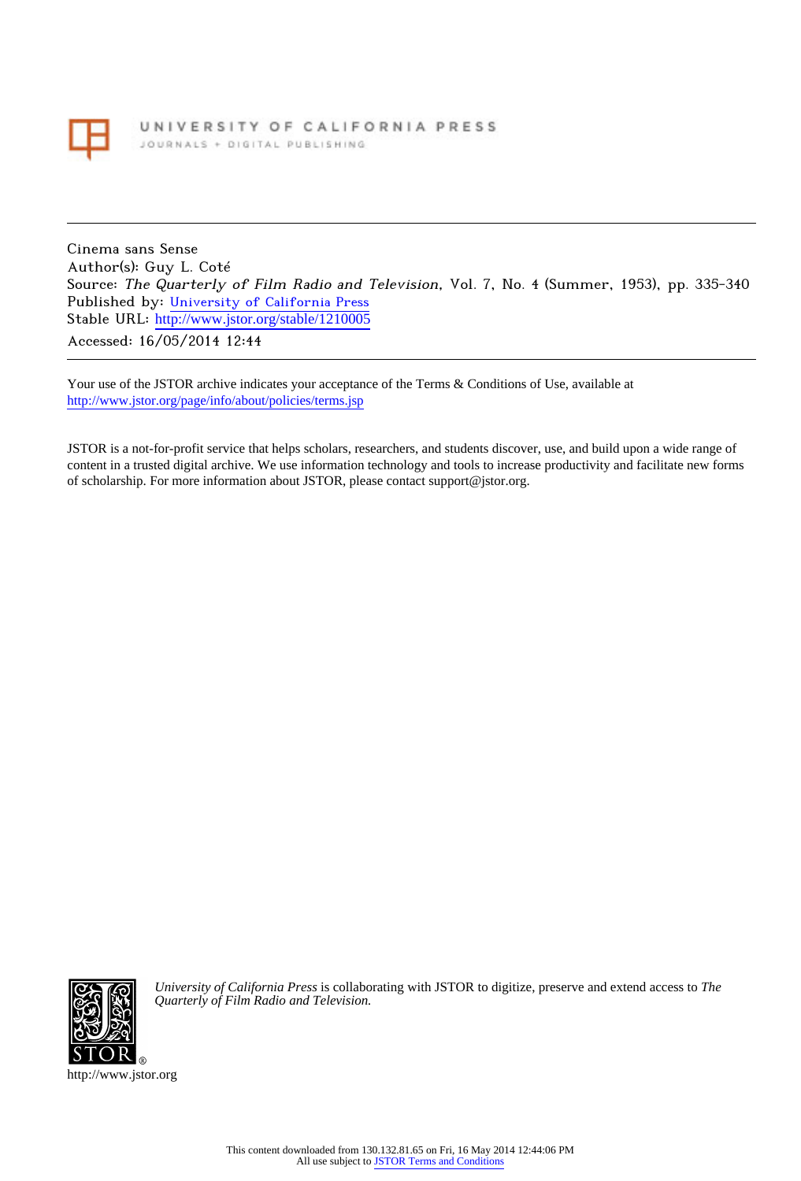

UNIVERSITY OF CALIFORNIA PRESS JOURNALS + DIGITAL PUBLISHING

Cinema sans Sense Author(s): Guy L. Coté Source: The Quarterly of Film Radio and Television, Vol. 7, No. 4 (Summer, 1953), pp. 335-340 Published by: [University of California Press](http://www.jstor.org/action/showPublisher?publisherCode=ucal) Stable URL: [http://www.jstor.org/stable/1210005](http://www.jstor.org/stable/1210005?origin=JSTOR-pdf) Accessed: 16/05/2014 12:44

Your use of the JSTOR archive indicates your acceptance of the Terms & Conditions of Use, available at <http://www.jstor.org/page/info/about/policies/terms.jsp>

JSTOR is a not-for-profit service that helps scholars, researchers, and students discover, use, and build upon a wide range of content in a trusted digital archive. We use information technology and tools to increase productivity and facilitate new forms of scholarship. For more information about JSTOR, please contact support@jstor.org.



*University of California Press* is collaborating with JSTOR to digitize, preserve and extend access to *The Quarterly of Film Radio and Television.*

http://www.jstor.org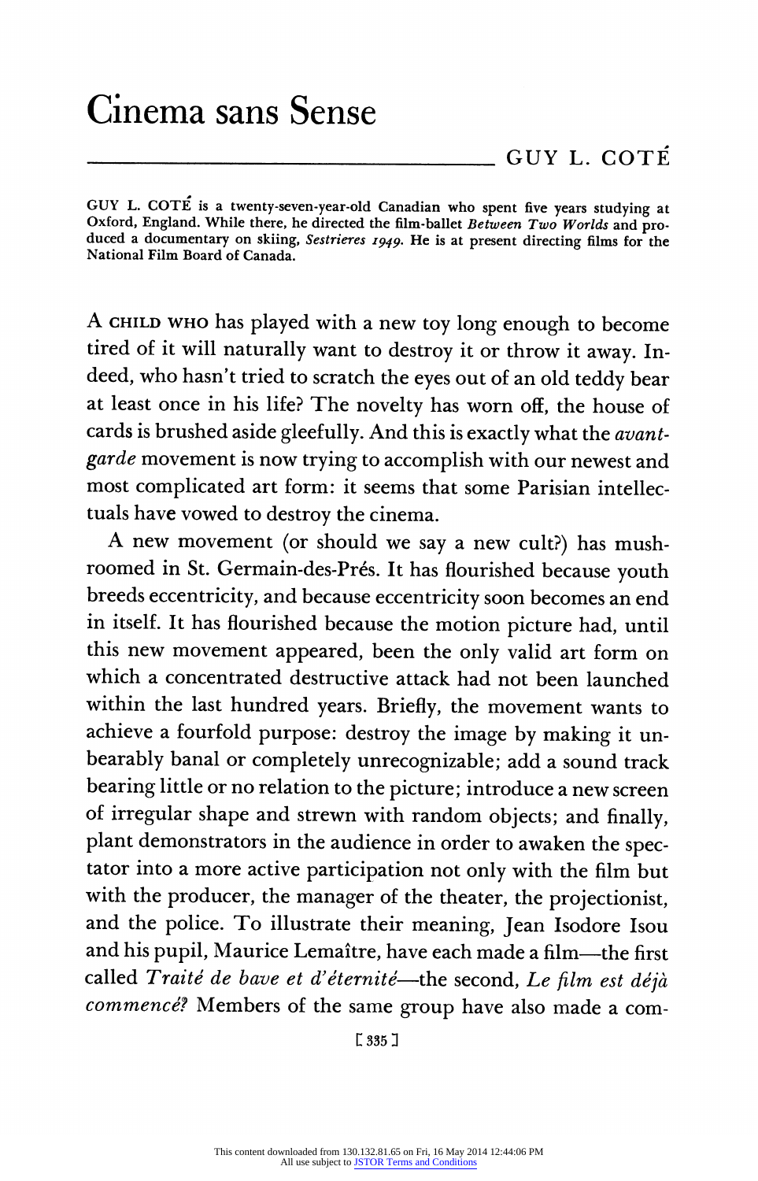## **Cinema sans Sense**

**GUY L. COTE is a twenty-seven-year-old Canadian who spent five years studying at**  duced a documentary on skiing, Sestrieres 1949. He is at present directing films for the **National Film Board of Canada.** 

**A CHILD WHO has played with a new toy long enough to become tired of it will naturally want to destroy it or throw it away. Indeed, who hasn't tried to scratch the eyes out of an old teddy bear at least once in his life? The novelty has worn off, the house of cards is brushed aside gleefully. And this is exactly what the avantgarde movement is now trying to accomplish with our newest and most complicated art form: it seems that some Parisian intellectuals have vowed to destroy the cinema.** 

**A new movement (or should we say a new cult?) has mush**roomed in St. Germain-des-Prés. It has flourished because youth **breeds eccentricity, and because eccentricity soon becomes an end in itself. It has flourished because the motion picture had, until this new movement appeared, been the only valid art form on which a concentrated destructive attack had not been launched within the last hundred years. Briefly, the movement wants to achieve a fourfold purpose: destroy the image by making it unbearably banal or completely unrecognizable; add a sound track bearing little or no relation to the picture; introduce a new screen of irregular shape and strewn with random objects; and finally, plant demonstrators in the audience in order to awaken the spectator into a more active participation not only with the film but with the producer, the manager of the theater, the projectionist, and the police. To illustrate their meaning, Jean Isodore Isou and his pupil, Maurice Lemaitre, have each made a film-the first**  called Traité de bave et d'éternité-the second, Le film est déjà commence? Members of the same group have also made a com-

**E 335 J**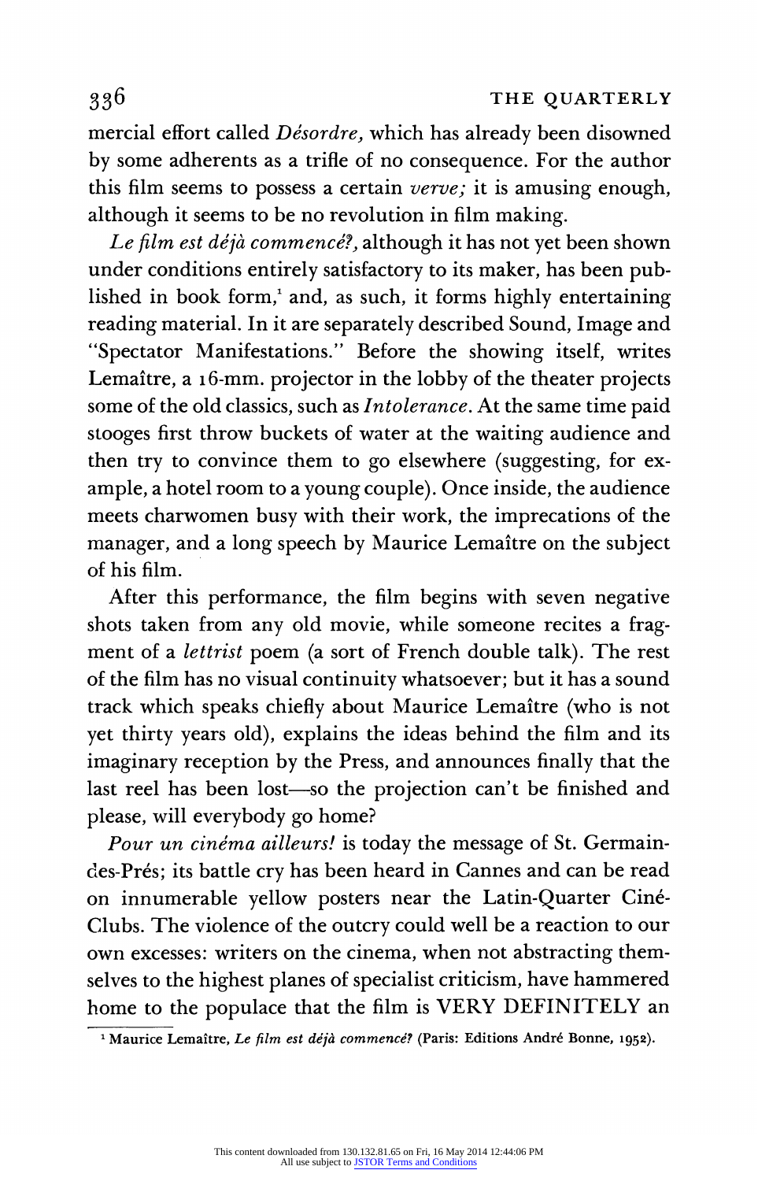**mercial effort called Desordre, which has already been disowned by some adherents as a trifle of no consequence. For the author this film seems to possess a certain verve; it is amusing enough, although it seems to be no revolution in film making.** 

Le film est déjà commencé?, although it has not yet been shown **under conditions entirely satisfactory to its maker, has been published in book form,' and, as such, it forms highly entertaining reading material. In it are separately described Sound, Image and "Spectator Manifestations." Before the showing itself, writes Lemaitre, a 16-mm. projector in the lobby of the theater projects some of the old classics, such as Intolerance. At the same time paid stooges first throw buckets of water at the waiting audience and then try to convince them to go elsewhere (suggesting, for example, a hotel room to a young couple). Once inside, the audience meets charwomen busy with their work, the imprecations of the manager, and a long speech by Maurice Lemaitre on the subject of his film.** 

**After this performance, the film begins with seven negative shots taken from any old movie, while someone recites a fragment of a lettrist poem (a sort of French double talk). The rest of the film has no visual continuity whatsoever; but it has a sound track which speaks chiefly about Maurice Lemaitre (who is not yet thirty years old), explains the ideas behind the film and its imaginary reception by the Press, and announces finally that the**  last reel has been lost-so the projection can't be finished and **please, will everybody go home?** 

Pour un cinéma ailleurs! is today the message of St. Germain**des-Pres; its battle cry has been heard in Cannes and can be read on innumerable yellow posters near the Latin-Quarter Cine-Clubs. The violence of the outcry could well be a reaction to our own excesses: writers on the cinema, when not abstracting themselves to the highest planes of specialist criticism, have hammered home to the populace that the film is VERY DEFINITELY an** 

<sup>&</sup>lt;sup>1</sup> Maurice Lemaître, Le film est déjà commencé? (Paris: Editions André Bonne, 1952).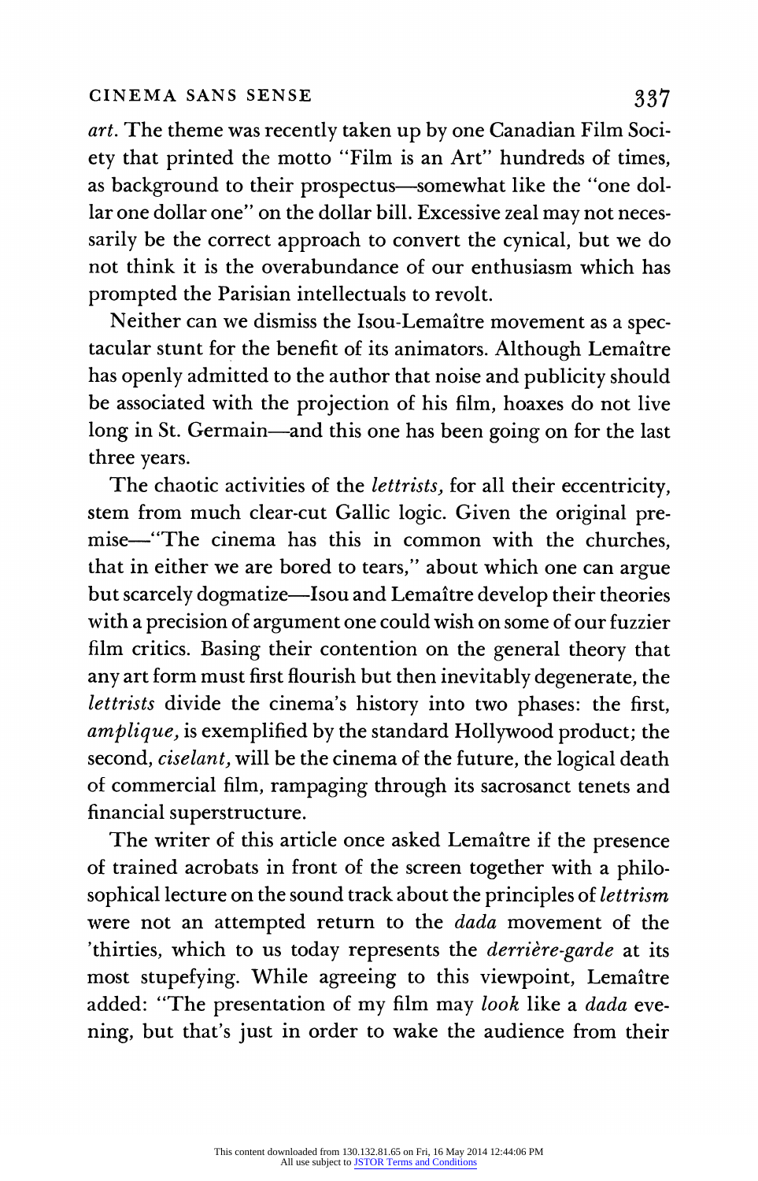**art. The theme was recently taken up by one Canadian Film Society that printed the motto "Film is an Art" hundreds of times,**  as background to their prospectus—somewhat like the "one dol**lar one dollar one" on the dollar bill. Excessive zeal may not necessarily be the correct approach to convert the cynical, but we do not think it is the overabundance of our enthusiasm which has prompted the Parisian intellectuals to revolt.** 

**Neither can we dismiss the Isou-Lemaitre movement as a spectacular stunt for the benefit of its animators. Although Lemaitre has openly admitted to the author that noise and publicity should be associated with the projection of his film, hoaxes do not live**  long in St. Germain-and this one has been going on for the last **three years.** 

**The chaotic activities of the lettrists, for all their eccentricity, stem from much clear-cut Gallic logic. Given the original premise-"The cinema has this in common with the churches, that in either we are bored to tears," about which one can argue but scarcely dogmatize-Isou and Lemaitre develop their theories with a precision of argument one could wish on some of our fuzzier film critics. Basing their contention on the general theory that any art form must first flourish but then inevitably degenerate, the lettrists divide the cinema's history into two phases: the first, amplique, is exemplified by the standard Hollywood product; the second, ciselant, will be the cinema of the future, the logical death of commercial film, rampaging through its sacrosanct tenets and financial superstructure.** 

**The writer of this article once asked Lemaitre if the presence of trained acrobats in front of the screen together with a philosophical lecture on the sound track about the principles of lettrism were not an attempted return to the dada movement of the**  'thirties, which to us today represents the *derrière-garde* at its **most stupefying. While agreeing to this viewpoint, Lemaitre added: "The presentation of my film may look like a dada evening, but that's just in order to wake the audience from their**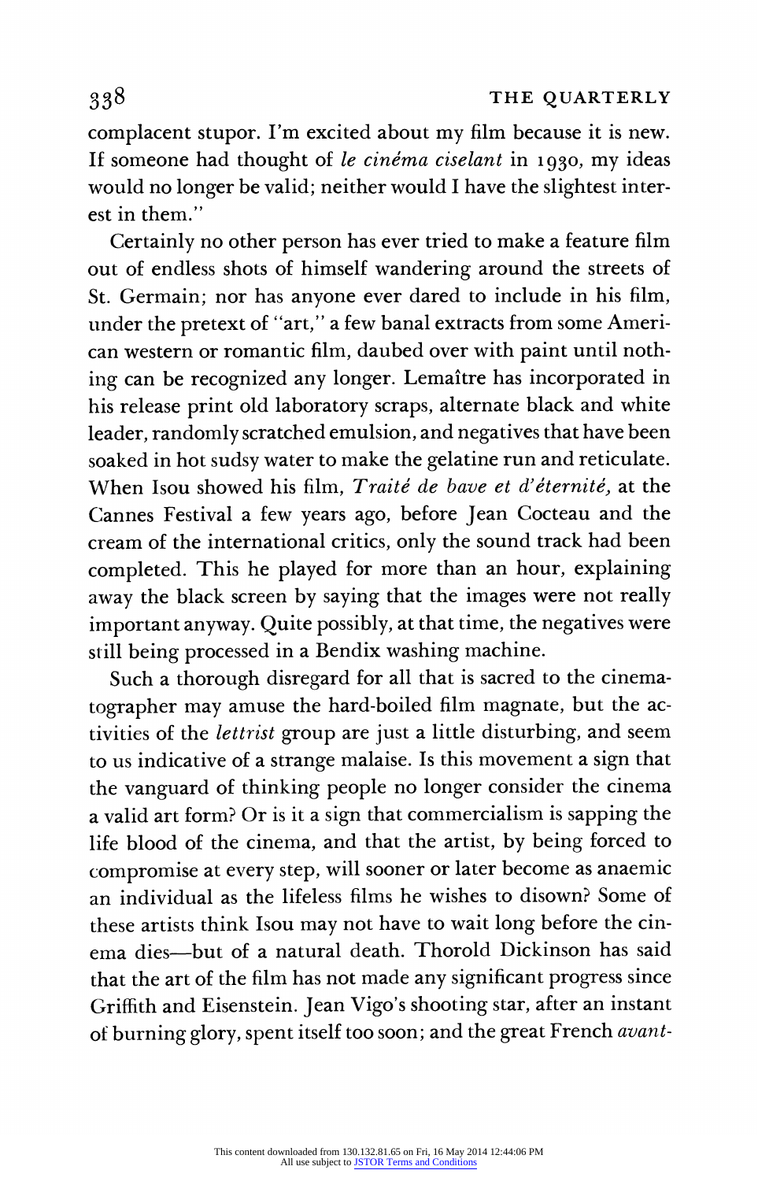**complacent stupor. I'm excited about my film because it is new.**  If someone had thought of le cinéma ciselant in 1930, my ideas **would no longer be valid; neither would I have the slightest interest in them."** 

**Certainly no other person has ever tried to make a feature film out of endless shots of himself wandering around the streets of St. Germain; nor has anyone ever dared to include in his film, under the pretext of "art," a few banal extracts from some American western or romantic film, daubed over with paint until nothing can be recognized any longer. Lemaitre has incorporated in his release print old laboratory scraps, alternate black and white leader, randomly scratched emulsion, and negatives that have been soaked in hot sudsy water to make the gelatine run and reticulate.**  When Isou showed his film, Traité de bave et d'éternité, at the **Cannes Festival a few years ago, before Jean Cocteau and the cream of the international critics, only the sound track had been completed. This he played for more than an hour, explaining away the black screen by saying that the images were not really important anyway. Quite possibly, at that time, the negatives were still being processed in a Bendix washing machine.** 

**Such a thorough disregard for all that is sacred to the cinematographer may amuse the hard-boiled film magnate, but the activities of the lettrist group are just a little disturbing, and seem to us indicative of a strange malaise. Is this movement a sign that the vanguard of thinking people no longer consider the cinema a valid art form? Or is it a sign that commercialism is sapping the life blood of the cinema, and that the artist, by being forced to compromise at every step, will sooner or later become as anaemic an individual as the lifeless films he wishes to disown? Some of these artists think Isou may not have to wait long before the cinema dies-but of a natural death. Thorold Dickinson has said that the art of the film has not made any significant progress since Griffith and Eisenstein. Jean Vigo's shooting star, after an instant of burning glory, spent itself too soon; and the great French avant-**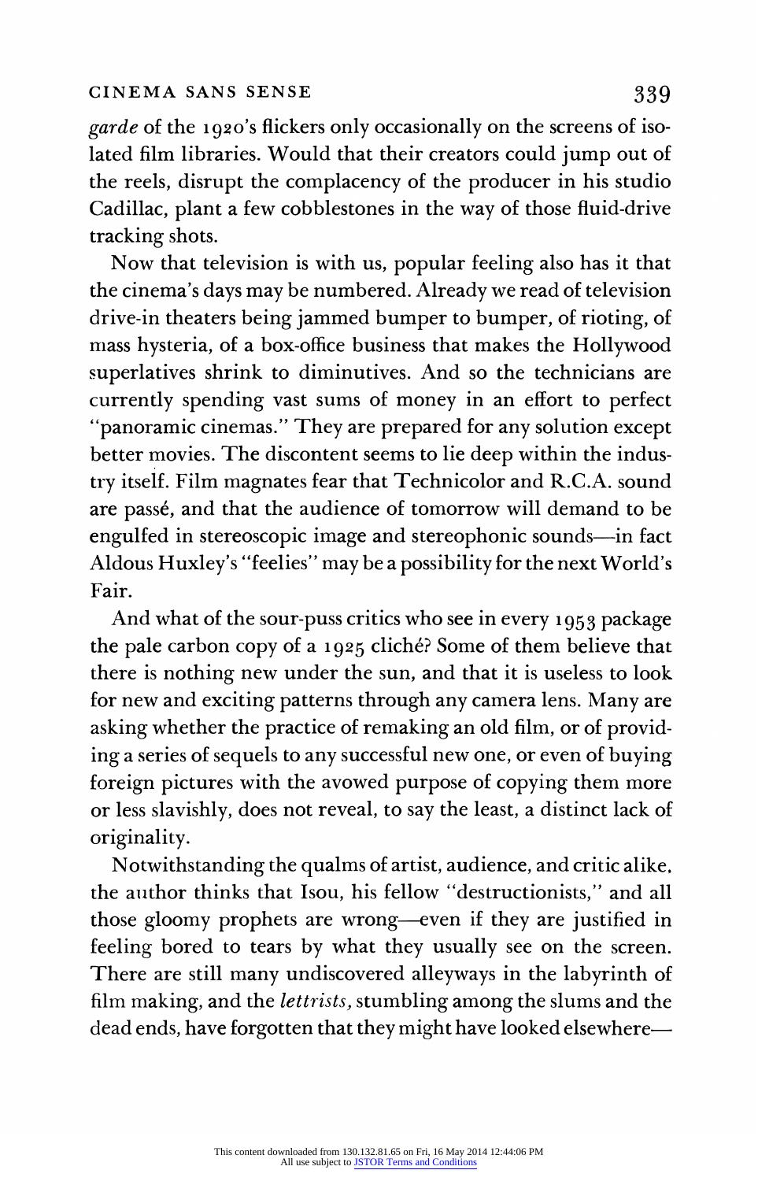**garde of the 1920's flickers only occasionally on the screens of isolated film libraries. Would that their creators could jump out of the reels, disrupt the complacency of the producer in his studio Cadillac, plant a few cobblestones in the way of those fluid-drive tracking shots.** 

**Now that television is with us, popular feeling also has it that the cinema's days may be numbered. Already we read of television drive-in theaters being jammed bumper to bumper, of rioting, of mass hysteria, of a box-office business that makes the Hollywood superlatives shrink to diminutives. And so the technicians are currently spending vast sums of money in an effort to perfect "panoramic cinemas." They are prepared for any solution except better movies. The discontent seems to lie deep within the industry itself. Film magnates fear that Technicolor and R.C.A. sound are passe, and that the audience of tomorrow will demand to be engulfed in stereoscopic image and stereophonic sounds-in fact Aldous Huxley's "feelies" may be a possibility for the next World's Fair.** 

**And what of the sour-puss critics who see in every 1953 package the pale carbon copy of a 1925 cliche? Some of them believe that there is nothing new under the sun, and that it is useless to look for new and exciting patterns through any camera lens. Many are asking whether the practice of remaking an old film, or of providing a series of sequels to any successful new one, or even of buying foreign pictures with the avowed purpose of copying them more or less slavishly, does not reveal, to say the least, a distinct lack of originality.** 

**Notwithstanding the qualms of artist, audience, and critic alike. the author thinks that Isou, his fellow "destructionists," and all those gloomy prophets are wrong-even if they are justified in feeling bored to tears by what they usually see on the screen. There are still many undiscovered alleyways in the labyrinth of film making, and the lettrists, stumbling among the slums and the dead ends, have forgotten that they might have looked elsewhere-**